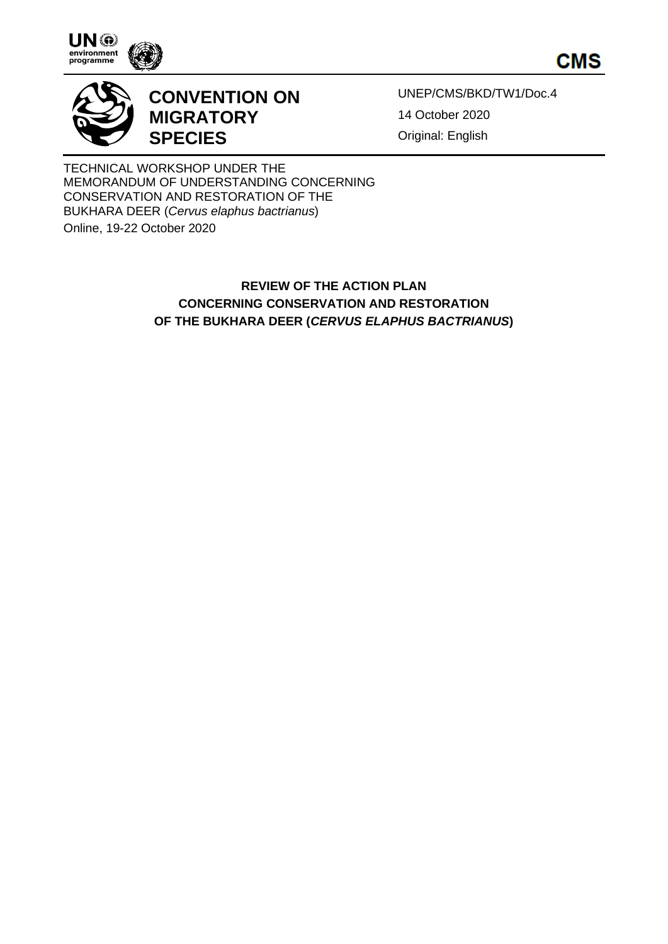

**CMS** 



## **CONVENTION ON MIGRATORY SPECIES**

UNEP/CMS/BKD/TW1/Doc.4 14 October 2020 Original: English

TECHNICAL WORKSHOP UNDER THE MEMORANDUM OF UNDERSTANDING CONCERNING CONSERVATION AND RESTORATION OF THE BUKHARA DEER (*Cervus elaphus bactrianus*)

Online, 19-22 October 2020

## **REVIEW OF THE ACTION PLAN CONCERNING CONSERVATION AND RESTORATION OF THE BUKHARA DEER (***CERVUS ELAPHUS BACTRIANUS***)**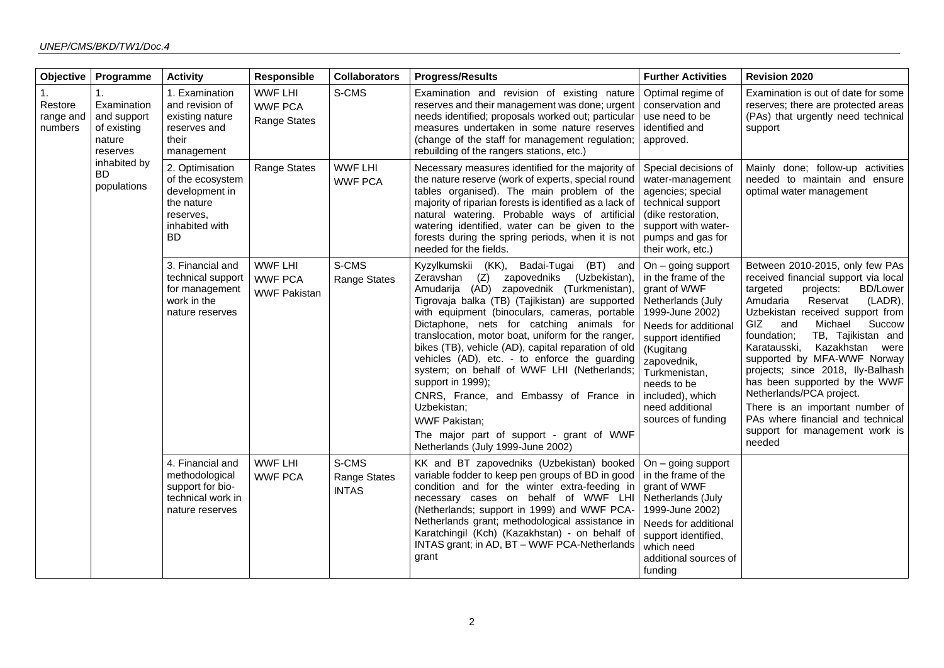| <b>Objective</b>                                                                                              | Programme                  | <b>Activity</b>                                                                                                 | <b>Responsible</b>                                      | <b>Collaborators</b>                         | <b>Progress/Results</b>                                                                                                                                                                                                                                                                                                                                                                                                                                                                                                                                                                                                                                                                         | <b>Further Activities</b>                                                                                                                                                                                                                                                  | <b>Revision 2020</b>                                                                                                                                                                                                                                                                                                                                                                                                                                                                                                                                          |
|---------------------------------------------------------------------------------------------------------------|----------------------------|-----------------------------------------------------------------------------------------------------------------|---------------------------------------------------------|----------------------------------------------|-------------------------------------------------------------------------------------------------------------------------------------------------------------------------------------------------------------------------------------------------------------------------------------------------------------------------------------------------------------------------------------------------------------------------------------------------------------------------------------------------------------------------------------------------------------------------------------------------------------------------------------------------------------------------------------------------|----------------------------------------------------------------------------------------------------------------------------------------------------------------------------------------------------------------------------------------------------------------------------|---------------------------------------------------------------------------------------------------------------------------------------------------------------------------------------------------------------------------------------------------------------------------------------------------------------------------------------------------------------------------------------------------------------------------------------------------------------------------------------------------------------------------------------------------------------|
| 1.<br>1.<br>Restore<br>range and<br>numbers<br>of existing<br>nature<br>reserves<br>inhabited by<br><b>BD</b> | Examination<br>and support | 1. Examination<br>and revision of<br>existing nature<br>reserves and<br>their<br>management                     | <b>WWF LHI</b><br><b>WWF PCA</b><br>Range States        | S-CMS                                        | Examination and revision of existing nature<br>reserves and their management was done; urgent<br>needs identified; proposals worked out; particular<br>measures undertaken in some nature reserves<br>(change of the staff for management regulation;<br>rebuilding of the rangers stations, etc.)                                                                                                                                                                                                                                                                                                                                                                                              | Optimal regime of<br>conservation and<br>use need to be<br>identified and<br>approved.                                                                                                                                                                                     | Examination is out of date for some<br>reserves; there are protected areas<br>(PAs) that urgently need technical<br>support                                                                                                                                                                                                                                                                                                                                                                                                                                   |
|                                                                                                               | populations                | 2. Optimisation<br>of the ecosystem<br>development in<br>the nature<br>reserves,<br>inhabited with<br><b>BD</b> | <b>Range States</b>                                     | <b>WWF LHI</b><br><b>WWF PCA</b>             | Necessary measures identified for the majority of<br>the nature reserve (work of experts, special round<br>tables organised). The main problem of the<br>majority of riparian forests is identified as a lack of<br>natural watering. Probable ways of artificial<br>watering identified, water can be given to the<br>forests during the spring periods, when it is not<br>needed for the fields.                                                                                                                                                                                                                                                                                              | Special decisions of<br>water-management<br>agencies; special<br>technical support<br>(dike restoration,<br>support with water-<br>pumps and gas for<br>their work, etc.)                                                                                                  | Mainly done; follow-up activities<br>needed to maintain and ensure<br>optimal water management                                                                                                                                                                                                                                                                                                                                                                                                                                                                |
|                                                                                                               |                            | 3. Financial and<br>technical support<br>for management<br>work in the<br>nature reserves                       | <b>WWF LHI</b><br><b>WWF PCA</b><br><b>WWF Pakistan</b> | S-CMS<br><b>Range States</b>                 | (KK),<br>Badai-Tugai (BT) and<br>Kyzylkumskii<br>zapovedniks<br>(Uzbekistan),<br>Zeravshan (Z)<br>Amudarija (AD) zapovednik (Turkmenistan),<br>Tigrovaja balka (TB) (Tajikistan) are supported<br>with equipment (binoculars, cameras, portable<br>Dictaphone, nets for catching animals for<br>translocation, motor boat, uniform for the ranger,<br>bikes (TB), vehicle (AD), capital reparation of old<br>vehicles (AD), etc. - to enforce the guarding<br>system; on behalf of WWF LHI (Netherlands;<br>support in 1999);<br>CNRS, France, and Embassy of France in<br>Uzbekistan;<br><b>WWF Pakistan;</b><br>The major part of support - grant of WWF<br>Netherlands (July 1999-June 2002) | On $-$ going support<br>in the frame of the<br>grant of WWF<br>Netherlands (July<br>1999-June 2002)<br>Needs for additional<br>support identified<br>(Kugitang<br>zapovednik,<br>Turkmenistan,<br>needs to be<br>included), which<br>need additional<br>sources of funding | Between 2010-2015, only few PAs<br>received financial support via local<br>targeted<br><b>BD/Lower</b><br>projects:<br>Amudaria<br>Reservat<br>(LADR),<br>Uzbekistan received support from<br>GIZ<br>Michael<br>Succow<br>and<br>foundation;<br>TB, Tajikistan and<br>Kazakhstan<br>Karatausski,<br>were<br>supported by MFA-WWF Norway<br>projects; since 2018, lly-Balhash<br>has been supported by the WWF<br>Netherlands/PCA project.<br>There is an important number of<br>PAs where financial and technical<br>support for management work is<br>needed |
|                                                                                                               |                            | 4. Financial and<br>methodological<br>support for bio-<br>technical work in<br>nature reserves                  | <b>WWF LHI</b><br><b>WWF PCA</b>                        | S-CMS<br><b>Range States</b><br><b>INTAS</b> | KK and BT zapovedniks (Uzbekistan) booked<br>variable fodder to keep pen groups of BD in good<br>condition and for the winter extra-feeding in<br>necessary cases on behalf of WWF LHI<br>(Netherlands; support in 1999) and WWF PCA-<br>Netherlands grant; methodological assistance in<br>Karatchingil (Kch) (Kazakhstan) - on behalf of<br>INTAS grant; in AD, BT - WWF PCA-Netherlands<br>grant                                                                                                                                                                                                                                                                                             | On $-$ going support<br>I in the frame of the<br>grant of WWF<br>Netherlands (July<br>1999-June 2002)<br>Needs for additional<br>support identified,<br>which need<br>additional sources of<br>funding                                                                     |                                                                                                                                                                                                                                                                                                                                                                                                                                                                                                                                                               |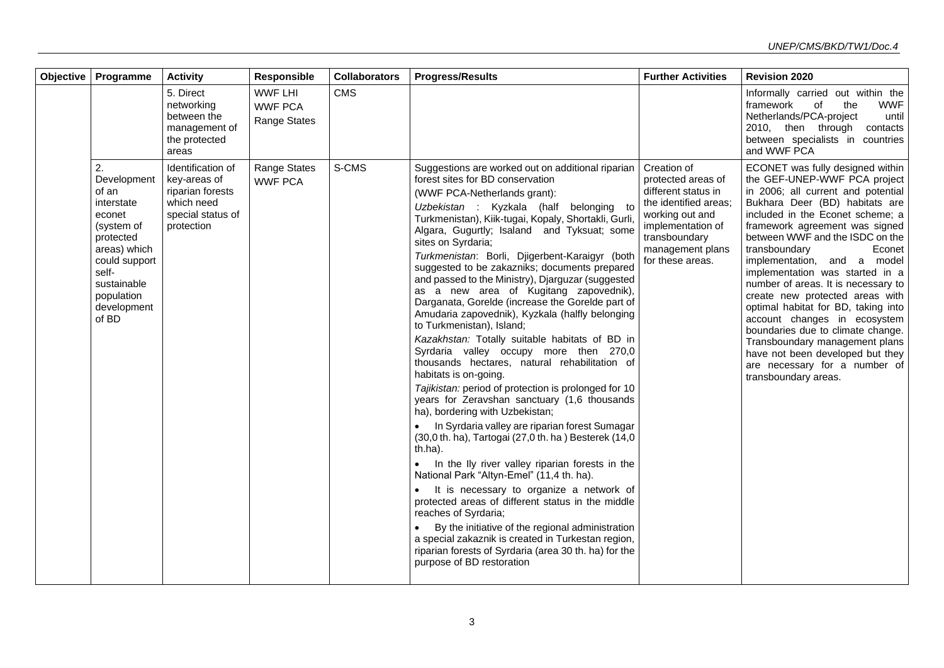| Objective   Programme                                                                                                                                                        | <b>Activity</b>                                                                                        | Responsible                                             | <b>Collaborators</b> | <b>Progress/Results</b>                                                                                                                                                                                                                                                                                                                                                                                                                                                                                                                                                                                                                                                                                                                                                                                                                                                                                                                                                                                                                                                                                                                                                                                                                                                                                                                                                                                                                                                                            | <b>Further Activities</b>                                                                                                                                                          | <b>Revision 2020</b>                                                                                                                                                                                                                                                                                                                                                                                                                                                                                                                                                                                                                                                |
|------------------------------------------------------------------------------------------------------------------------------------------------------------------------------|--------------------------------------------------------------------------------------------------------|---------------------------------------------------------|----------------------|----------------------------------------------------------------------------------------------------------------------------------------------------------------------------------------------------------------------------------------------------------------------------------------------------------------------------------------------------------------------------------------------------------------------------------------------------------------------------------------------------------------------------------------------------------------------------------------------------------------------------------------------------------------------------------------------------------------------------------------------------------------------------------------------------------------------------------------------------------------------------------------------------------------------------------------------------------------------------------------------------------------------------------------------------------------------------------------------------------------------------------------------------------------------------------------------------------------------------------------------------------------------------------------------------------------------------------------------------------------------------------------------------------------------------------------------------------------------------------------------------|------------------------------------------------------------------------------------------------------------------------------------------------------------------------------------|---------------------------------------------------------------------------------------------------------------------------------------------------------------------------------------------------------------------------------------------------------------------------------------------------------------------------------------------------------------------------------------------------------------------------------------------------------------------------------------------------------------------------------------------------------------------------------------------------------------------------------------------------------------------|
|                                                                                                                                                                              | 5. Direct<br>networking<br>between the<br>management of<br>the protected<br>areas                      | <b>WWF LHI</b><br><b>WWF PCA</b><br><b>Range States</b> | <b>CMS</b>           |                                                                                                                                                                                                                                                                                                                                                                                                                                                                                                                                                                                                                                                                                                                                                                                                                                                                                                                                                                                                                                                                                                                                                                                                                                                                                                                                                                                                                                                                                                    |                                                                                                                                                                                    | Informally carried out within the<br><b>WWF</b><br>framework<br>the<br>of<br>Netherlands/PCA-project<br>until<br>2010, then through contacts<br>between specialists in countries<br>and WWF PCA                                                                                                                                                                                                                                                                                                                                                                                                                                                                     |
| 2.<br>Development<br>of an<br>interstate<br>econet<br>(system of<br>protected<br>areas) which<br>could support<br>self-<br>sustainable<br>population<br>development<br>of BD | Identification of<br>key-areas of<br>riparian forests<br>which need<br>special status of<br>protection | <b>Range States</b><br><b>WWF PCA</b>                   | S-CMS                | Suggestions are worked out on additional riparian<br>forest sites for BD conservation<br>(WWF PCA-Netherlands grant):<br>Uzbekistan : Kyzkala (half belonging to<br>Turkmenistan), Kiik-tugai, Kopaly, Shortakli, Gurli,<br>Algara, Gugurtly; Isaland and Tyksuat; some<br>sites on Syrdaria;<br>Turkmenistan: Borli, Djigerbent-Karaigyr (both<br>suggested to be zakazniks; documents prepared<br>and passed to the Ministry), Djarguzar (suggested<br>as a new area of Kugitang zapovednik),<br>Darganata, Gorelde (increase the Gorelde part of<br>Amudaria zapovednik), Kyzkala (halfly belonging<br>to Turkmenistan), Island;<br>Kazakhstan: Totally suitable habitats of BD in<br>Syrdaria valley occupy more then 270,0<br>thousands hectares, natural rehabilitation of<br>habitats is on-going.<br>Tajikistan: period of protection is prolonged for 10<br>years for Zeravshan sanctuary (1,6 thousands<br>ha), bordering with Uzbekistan;<br>In Syrdaria valley are riparian forest Sumagar<br>(30,0 th. ha), Tartogai (27,0 th. ha) Besterek (14,0<br>th.ha).<br>In the Ily river valley riparian forests in the<br>National Park "Altyn-Emel" (11,4 th. ha).<br>It is necessary to organize a network of<br>protected areas of different status in the middle<br>reaches of Syrdaria;<br>By the initiative of the regional administration<br>a special zakaznik is created in Turkestan region,<br>riparian forests of Syrdaria (area 30 th. ha) for the<br>purpose of BD restoration | Creation of<br>protected areas of<br>different status in<br>the identified areas:<br>working out and<br>implementation of<br>transboundary<br>management plans<br>for these areas. | ECONET was fully designed within<br>the GEF-UNEP-WWF PCA project<br>in 2006; all current and potential<br>Bukhara Deer (BD) habitats are<br>included in the Econet scheme; a<br>framework agreement was signed<br>between WWF and the ISDC on the<br>transboundary<br>Econet<br>implementation, and a model<br>implementation was started in a<br>number of areas. It is necessary to<br>create new protected areas with<br>optimal habitat for BD, taking into<br>account changes in ecosystem<br>boundaries due to climate change.<br>Transboundary management plans<br>have not been developed but they<br>are necessary for a number of<br>transboundary areas. |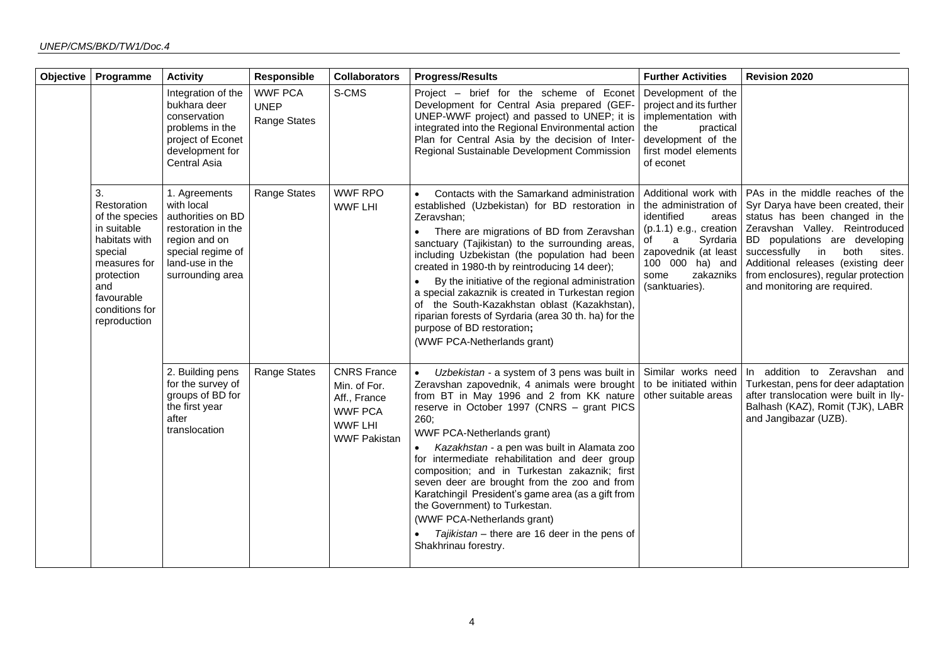| <b>Objective</b> | Programme                                                                                                                                                           | <b>Activity</b>                                                                                                                                     | Responsible                                          | <b>Collaborators</b>                                                                                          | <b>Progress/Results</b>                                                                                                                                                                                                                                                                                                                                                                                                                                                                                                                                                                                                                    | <b>Further Activities</b>                                                                                                                                                                                 | <b>Revision 2020</b>                                                                                                                                                                                                                                                                                                           |
|------------------|---------------------------------------------------------------------------------------------------------------------------------------------------------------------|-----------------------------------------------------------------------------------------------------------------------------------------------------|------------------------------------------------------|---------------------------------------------------------------------------------------------------------------|--------------------------------------------------------------------------------------------------------------------------------------------------------------------------------------------------------------------------------------------------------------------------------------------------------------------------------------------------------------------------------------------------------------------------------------------------------------------------------------------------------------------------------------------------------------------------------------------------------------------------------------------|-----------------------------------------------------------------------------------------------------------------------------------------------------------------------------------------------------------|--------------------------------------------------------------------------------------------------------------------------------------------------------------------------------------------------------------------------------------------------------------------------------------------------------------------------------|
|                  |                                                                                                                                                                     | Integration of the<br>bukhara deer<br>conservation<br>problems in the<br>project of Econet<br>development for<br>Central Asia                       | <b>WWF PCA</b><br><b>UNEP</b><br><b>Range States</b> | S-CMS                                                                                                         | Project - brief for the scheme of Econet<br>Development for Central Asia prepared (GEF-<br>UNEP-WWF project) and passed to UNEP; it is<br>integrated into the Regional Environmental action<br>Plan for Central Asia by the decision of Inter-<br>Regional Sustainable Development Commission                                                                                                                                                                                                                                                                                                                                              | Development of the<br>project and its further<br>implementation with<br>the<br>practical<br>development of the<br>first model elements<br>of econet                                                       |                                                                                                                                                                                                                                                                                                                                |
|                  | 3.<br>Restoration<br>of the species<br>in suitable<br>habitats with<br>special<br>measures for<br>protection<br>and<br>favourable<br>conditions for<br>reproduction | 1. Agreements<br>with local<br>authorities on BD<br>restoration in the<br>region and on<br>special regime of<br>land-use in the<br>surrounding area | Range States                                         | <b>WWF RPO</b><br><b>WWF LHI</b>                                                                              | Contacts with the Samarkand administration<br>$\bullet$<br>established (Uzbekistan) for BD restoration in<br>Zeravshan;<br>There are migrations of BD from Zeravshan<br>sanctuary (Tajikistan) to the surrounding areas,<br>including Uzbekistan (the population had been<br>created in 1980-th by reintroducing 14 deer);<br>By the initiative of the regional administration<br>a special zakaznik is created in Turkestan region<br>of the South-Kazakhstan oblast (Kazakhstan),<br>riparian forests of Syrdaria (area 30 th. ha) for the<br>purpose of BD restoration;<br>(WWF PCA-Netherlands grant)                                  | Additional work with<br>the administration of<br>identified<br>areas<br>$(p.1.1)$ e.g., creation<br>Syrdaria<br>a<br>of<br>zapovednik (at least<br>100 000 ha) and<br>zakazniks<br>some<br>(sanktuaries). | PAs in the middle reaches of the<br>Syr Darya have been created, their<br>status has been changed in the<br>Zeravshan Valley. Reintroduced<br>BD populations are developing<br>successfully in<br>both<br>sites.<br>Additional releases (existing deer<br>from enclosures), regular protection<br>and monitoring are required. |
|                  |                                                                                                                                                                     | 2. Building pens<br>for the survey of<br>groups of BD for<br>the first year<br>after<br>translocation                                               | Range States                                         | <b>CNRS France</b><br>Min. of For.<br>Aff., France<br><b>WWF PCA</b><br><b>WWF LHI</b><br><b>WWF Pakistan</b> | Uzbekistan - a system of 3 pens was built in<br>$\bullet$<br>Zeravshan zapovednik, 4 animals were brought<br>from BT in May 1996 and 2 from KK nature<br>reserve in October 1997 (CNRS - grant PICS<br>260;<br>WWF PCA-Netherlands grant)<br>Kazakhstan - a pen was built in Alamata zoo<br>for intermediate rehabilitation and deer group<br>composition; and in Turkestan zakaznik; first<br>seven deer are brought from the zoo and from<br>Karatchingil President's game area (as a gift from<br>the Government) to Turkestan.<br>(WWF PCA-Netherlands grant)<br>Tajikistan - there are 16 deer in the pens of<br>Shakhrinau forestry. | Similar works need<br>to be initiated within<br>other suitable areas                                                                                                                                      | In addition to Zeravshan and<br>Turkestan, pens for deer adaptation<br>after translocation were built in Ily-<br>Balhash (KAZ), Romit (TJK), LABR<br>and Jangibazar (UZB).                                                                                                                                                     |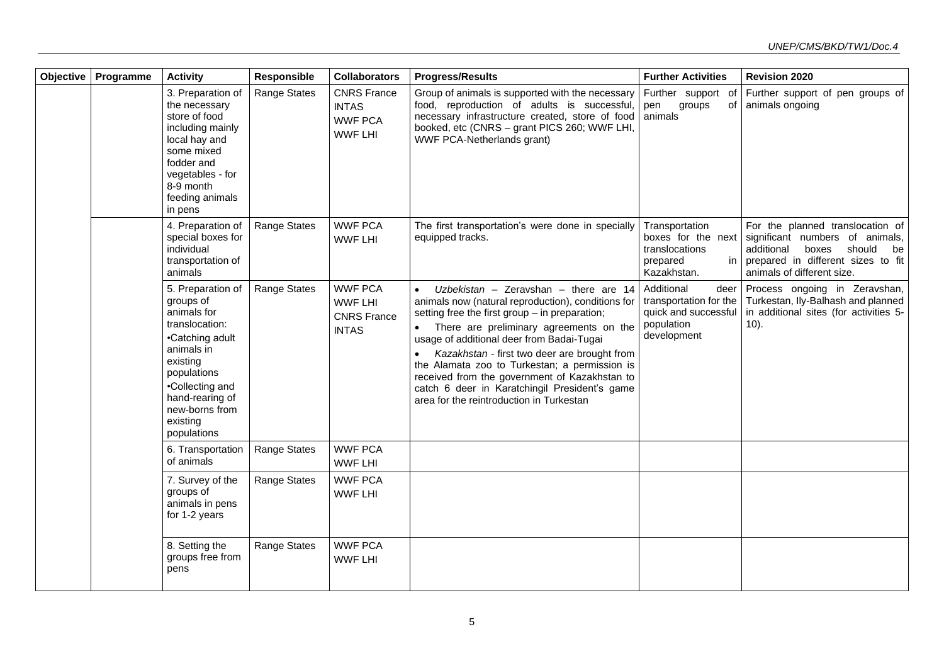| Objective | Programme | <b>Activity</b>                                                                                                                                                                                                | Responsible         | <b>Collaborators</b>                                                   | <b>Progress/Results</b>                                                                                                                                                                                                                                                                                                                                                                                                                                                                           | <b>Further Activities</b>                                                                         | <b>Revision 2020</b>                                                                                                                                                              |
|-----------|-----------|----------------------------------------------------------------------------------------------------------------------------------------------------------------------------------------------------------------|---------------------|------------------------------------------------------------------------|---------------------------------------------------------------------------------------------------------------------------------------------------------------------------------------------------------------------------------------------------------------------------------------------------------------------------------------------------------------------------------------------------------------------------------------------------------------------------------------------------|---------------------------------------------------------------------------------------------------|-----------------------------------------------------------------------------------------------------------------------------------------------------------------------------------|
|           |           | 3. Preparation of<br>the necessary<br>store of food<br>including mainly<br>local hay and<br>some mixed<br>fodder and<br>vegetables - for<br>8-9 month<br>feeding animals<br>in pens                            | <b>Range States</b> | <b>CNRS France</b><br><b>INTAS</b><br><b>WWF PCA</b><br><b>WWF LHI</b> | Group of animals is supported with the necessary<br>food, reproduction of adults is successful,<br>necessary infrastructure created, store of food<br>booked, etc (CNRS - grant PICS 260; WWF LHI,<br>WWF PCA-Netherlands grant)                                                                                                                                                                                                                                                                  | Further support of<br>pen groups<br>οf<br>animals                                                 | Further support of pen groups of<br>animals ongoing                                                                                                                               |
|           |           | 4. Preparation of<br>special boxes for<br>individual<br>transportation of<br>animals                                                                                                                           | Range States        | <b>WWF PCA</b><br><b>WWF LHI</b>                                       | The first transportation's were done in specially<br>equipped tracks.                                                                                                                                                                                                                                                                                                                                                                                                                             | Transportation<br>boxes for the next<br>translocations<br>prepared<br>Kazakhstan.                 | For the planned translocation of<br>significant numbers of animals,<br>additional<br>boxes<br>should<br>be<br>in prepared in different sizes to fit<br>animals of different size. |
|           |           | 5. Preparation of<br>groups of<br>animals for<br>translocation:<br>•Catching adult<br>animals in<br>existing<br>populations<br>•Collecting and<br>hand-rearing of<br>new-borns from<br>existing<br>populations | <b>Range States</b> | <b>WWF PCA</b><br><b>WWF LHI</b><br><b>CNRS</b> France<br><b>INTAS</b> | Uzbekistan - Zeravshan - there are 14<br>$\bullet$<br>animals now (natural reproduction), conditions for<br>setting free the first group - in preparation;<br>There are preliminary agreements on the<br>usage of additional deer from Badai-Tugai<br>Kazakhstan - first two deer are brought from<br>the Alamata zoo to Turkestan; a permission is<br>received from the government of Kazakhstan to<br>catch 6 deer in Karatchingil President's game<br>area for the reintroduction in Turkestan | Additional<br>deer<br>transportation for the<br>quick and successful<br>population<br>development | Process ongoing in Zeravshan,<br>Turkestan, Ily-Balhash and planned<br>in additional sites (for activities 5-<br>$10$ ).                                                          |
|           |           | 6. Transportation<br>of animals                                                                                                                                                                                | <b>Range States</b> | <b>WWF PCA</b><br><b>WWF LHI</b>                                       |                                                                                                                                                                                                                                                                                                                                                                                                                                                                                                   |                                                                                                   |                                                                                                                                                                                   |
|           |           | 7. Survey of the<br>groups of<br>animals in pens<br>for 1-2 years                                                                                                                                              | Range States        | <b>WWF PCA</b><br><b>WWF LHI</b>                                       |                                                                                                                                                                                                                                                                                                                                                                                                                                                                                                   |                                                                                                   |                                                                                                                                                                                   |
|           |           | 8. Setting the<br>groups free from<br>pens                                                                                                                                                                     | Range States        | <b>WWF PCA</b><br><b>WWF LHI</b>                                       |                                                                                                                                                                                                                                                                                                                                                                                                                                                                                                   |                                                                                                   |                                                                                                                                                                                   |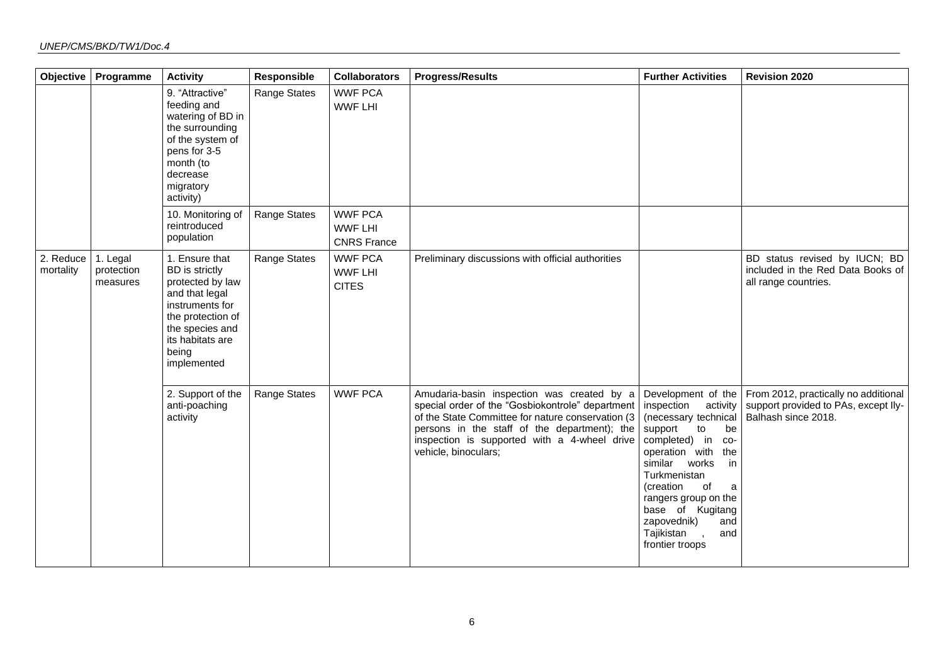| Objective              | Programme                          | <b>Activity</b>                                                                                                                                                                      | Responsible  | <b>Collaborators</b>                                   | <b>Progress/Results</b>                                                                                                                                                                                                                                                     | <b>Further Activities</b>                                                                                                                                                                                                                                                                                               | <b>Revision 2020</b>                                                                                |
|------------------------|------------------------------------|--------------------------------------------------------------------------------------------------------------------------------------------------------------------------------------|--------------|--------------------------------------------------------|-----------------------------------------------------------------------------------------------------------------------------------------------------------------------------------------------------------------------------------------------------------------------------|-------------------------------------------------------------------------------------------------------------------------------------------------------------------------------------------------------------------------------------------------------------------------------------------------------------------------|-----------------------------------------------------------------------------------------------------|
|                        |                                    | 9. "Attractive"<br>feeding and<br>watering of BD in<br>the surrounding<br>of the system of<br>pens for 3-5<br>month (to<br>decrease<br>migratory<br>activity)                        | Range States | <b>WWF PCA</b><br><b>WWF LHI</b>                       |                                                                                                                                                                                                                                                                             |                                                                                                                                                                                                                                                                                                                         |                                                                                                     |
|                        |                                    | 10. Monitoring of<br>reintroduced<br>population                                                                                                                                      | Range States | <b>WWF PCA</b><br><b>WWF LHI</b><br><b>CNRS France</b> |                                                                                                                                                                                                                                                                             |                                                                                                                                                                                                                                                                                                                         |                                                                                                     |
| 2. Reduce<br>mortality | 1. Legal<br>protection<br>measures | 1. Ensure that<br><b>BD</b> is strictly<br>protected by law<br>and that legal<br>instruments for<br>the protection of<br>the species and<br>its habitats are<br>being<br>implemented | Range States | <b>WWF PCA</b><br><b>WWF LHI</b><br><b>CITES</b>       | Preliminary discussions with official authorities                                                                                                                                                                                                                           |                                                                                                                                                                                                                                                                                                                         | BD status revised by IUCN; BD<br>included in the Red Data Books of<br>all range countries.          |
|                        |                                    | 2. Support of the<br>anti-poaching<br>activity                                                                                                                                       | Range States | <b>WWF PCA</b>                                         | Amudaria-basin inspection was created by a<br>special order of the "Gosbiokontrole" department<br>of the State Committee for nature conservation (3<br>persons in the staff of the department); the<br>inspection is supported with a 4-wheel drive<br>vehicle, binoculars; | Development of the<br>inspection<br>activity<br>(necessary technical<br>support<br>to<br>be<br>completed) in<br>$CO-$<br>operation with<br>the<br>similar works<br>in<br>Turkmenistan<br>(creation<br>of<br>a<br>rangers group on the<br>base of Kugitang<br>zapovednik)<br>and<br>Tajikistan<br>and<br>frontier troops | From 2012, practically no additional<br>support provided to PAs, except Ily-<br>Balhash since 2018. |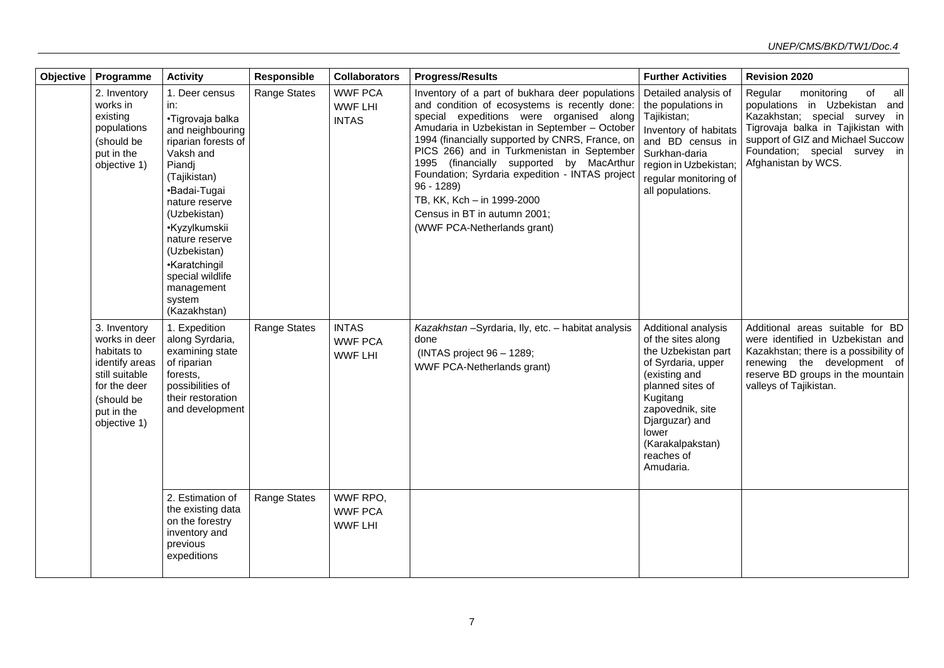| <b>Objective</b> | Programme                                                                                                                                    | <b>Activity</b>                                                                                                                                                                                                                                                                                               | Responsible         | <b>Collaborators</b>                             | <b>Progress/Results</b>                                                                                                                                                                                                                                                                                                                                                                                                                                                                                   | <b>Further Activities</b>                                                                                                                                                                                                             | <b>Revision 2020</b>                                                                                                                                                                                                                    |
|------------------|----------------------------------------------------------------------------------------------------------------------------------------------|---------------------------------------------------------------------------------------------------------------------------------------------------------------------------------------------------------------------------------------------------------------------------------------------------------------|---------------------|--------------------------------------------------|-----------------------------------------------------------------------------------------------------------------------------------------------------------------------------------------------------------------------------------------------------------------------------------------------------------------------------------------------------------------------------------------------------------------------------------------------------------------------------------------------------------|---------------------------------------------------------------------------------------------------------------------------------------------------------------------------------------------------------------------------------------|-----------------------------------------------------------------------------------------------------------------------------------------------------------------------------------------------------------------------------------------|
|                  | 2. Inventory<br>works in<br>existing<br>populations<br>(should be<br>put in the<br>objective 1)                                              | 1. Deer census<br>in:<br>•Tigrovaja balka<br>and neighbouring<br>riparian forests of<br>Vaksh and<br>Piandj<br>(Tajikistan)<br>•Badai-Tugai<br>nature reserve<br>(Uzbekistan)<br>•Kyzylkumskii<br>nature reserve<br>(Uzbekistan)<br>•Karatchingil<br>special wildlife<br>management<br>system<br>(Kazakhstan) | <b>Range States</b> | <b>WWF PCA</b><br><b>WWF LHI</b><br><b>INTAS</b> | Inventory of a part of bukhara deer populations<br>and condition of ecosystems is recently done:<br>special expeditions were organised along<br>Amudaria in Uzbekistan in September - October<br>1994 (financially supported by CNRS, France, on<br>PICS 266) and in Turkmenistan in September<br>1995 (financially supported by MacArthur<br>Foundation; Syrdaria expedition - INTAS project<br>$96 - 1289$<br>TB, KK, Kch - in 1999-2000<br>Census in BT in autumn 2001;<br>(WWF PCA-Netherlands grant) | Detailed analysis of<br>the populations in<br>Tajikistan;<br>Inventory of habitats<br>and BD census in<br>Surkhan-daria<br>region in Uzbekistan;<br>regular monitoring of<br>all populations.                                         | of<br>Regular<br>monitoring<br>all<br>populations in Uzbekistan and<br>Kazakhstan; special survey in<br>Tigrovaja balka in Tajikistan with<br>support of GIZ and Michael Succow<br>Foundation; special survey in<br>Afghanistan by WCS. |
|                  | 3. Inventory<br>works in deer<br>habitats to<br>identify areas<br>still suitable<br>for the deer<br>(should be<br>put in the<br>objective 1) | 1. Expedition<br>along Syrdaria,<br>examining state<br>of riparian<br>forests,<br>possibilities of<br>their restoration<br>and development                                                                                                                                                                    | <b>Range States</b> | <b>INTAS</b><br><b>WWF PCA</b><br><b>WWF LHI</b> | Kazakhstan-Syrdaria, Ily, etc. - habitat analysis<br>done<br>(INTAS project 96 - 1289;<br><b>WWF PCA-Netherlands grant)</b>                                                                                                                                                                                                                                                                                                                                                                               | Additional analysis<br>of the sites along<br>the Uzbekistan part<br>of Syrdaria, upper<br>(existing and<br>planned sites of<br>Kugitang<br>zapovednik, site<br>Djarguzar) and<br>lower<br>(Karakalpakstan)<br>reaches of<br>Amudaria. | Additional areas suitable for BD<br>were identified in Uzbekistan and<br>Kazakhstan; there is a possibility of<br>renewing the development of<br>reserve BD groups in the mountain<br>valleys of Tajikistan.                            |
|                  |                                                                                                                                              | 2. Estimation of<br>the existing data<br>on the forestry<br>inventory and<br>previous<br>expeditions                                                                                                                                                                                                          | <b>Range States</b> | WWF RPO,<br><b>WWF PCA</b><br><b>WWF LHI</b>     |                                                                                                                                                                                                                                                                                                                                                                                                                                                                                                           |                                                                                                                                                                                                                                       |                                                                                                                                                                                                                                         |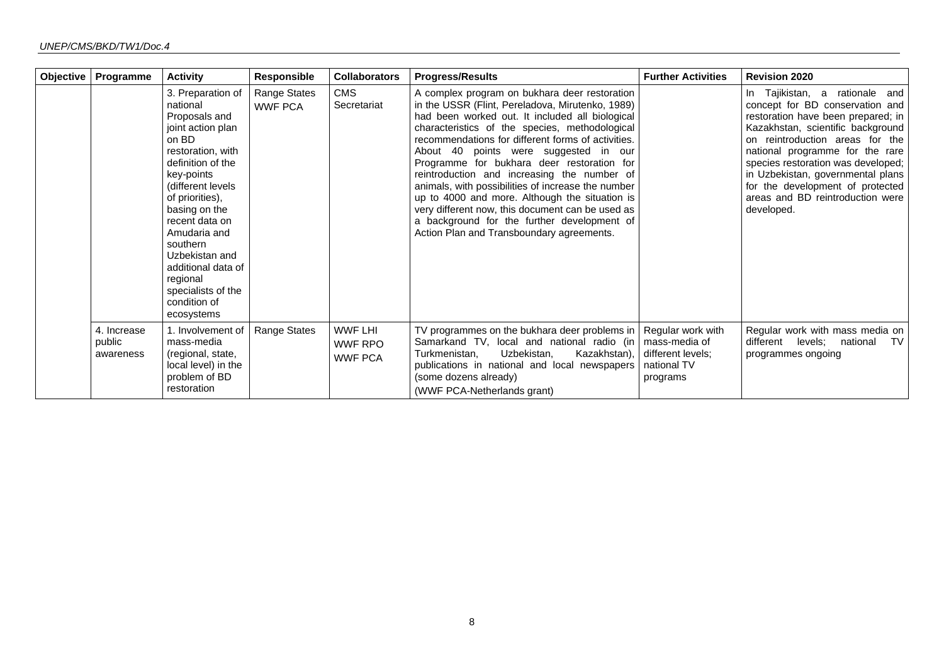| Objective | Programme                          | <b>Activity</b>                                                                                                                                                                                                                                                                                                                                      | <b>Responsible</b>             | <b>Collaborators</b>                               | <b>Progress/Results</b>                                                                                                                                                                                                                                                                                                                                                                                                                                                                                                                                                                                                                                    | <b>Further Activities</b>                                 | <b>Revision 2020</b>                                                                                                                                                                                                                                                                                                                                                                |
|-----------|------------------------------------|------------------------------------------------------------------------------------------------------------------------------------------------------------------------------------------------------------------------------------------------------------------------------------------------------------------------------------------------------|--------------------------------|----------------------------------------------------|------------------------------------------------------------------------------------------------------------------------------------------------------------------------------------------------------------------------------------------------------------------------------------------------------------------------------------------------------------------------------------------------------------------------------------------------------------------------------------------------------------------------------------------------------------------------------------------------------------------------------------------------------------|-----------------------------------------------------------|-------------------------------------------------------------------------------------------------------------------------------------------------------------------------------------------------------------------------------------------------------------------------------------------------------------------------------------------------------------------------------------|
|           |                                    | 3. Preparation of<br>national<br>Proposals and<br>joint action plan<br>on BD<br>restoration, with<br>definition of the<br>key-points<br>(different levels)<br>of priorities),<br>basing on the<br>recent data on<br>Amudaria and<br>southern<br>Uzbekistan and<br>additional data of<br>regional<br>specialists of the<br>condition of<br>ecosystems | Range States<br><b>WWF PCA</b> | <b>CMS</b><br>Secretariat                          | A complex program on bukhara deer restoration<br>in the USSR (Flint, Pereladova, Mirutenko, 1989)<br>had been worked out. It included all biological<br>characteristics of the species, methodological<br>recommendations for different forms of activities.<br>About 40 points were suggested in our<br>Programme for bukhara deer restoration for<br>reintroduction and increasing the number of<br>animals, with possibilities of increase the number<br>up to 4000 and more. Although the situation is<br>very different now, this document can be used as<br>a background for the further development of<br>Action Plan and Transboundary agreements. |                                                           | In Tajikistan, a rationale and<br>concept for BD conservation and<br>restoration have been prepared; in<br>Kazakhstan, scientific background<br>on reintroduction areas for the<br>national programme for the rare<br>species restoration was developed;<br>in Uzbekistan, governmental plans<br>for the development of protected<br>areas and BD reintroduction were<br>developed. |
|           | 4. Increase<br>public<br>awareness | 1. Involvement of<br>mass-media<br>(regional, state,<br>local level) in the<br>problem of BD<br>restoration                                                                                                                                                                                                                                          | Range States                   | <b>WWF LHI</b><br><b>WWF RPO</b><br><b>WWF PCA</b> | TV programmes on the bukhara deer problems in Regular work with<br>Samarkand TV, local and national radio (in   mass-media of<br>Turkmenistan,<br>Uzbekistan,<br>publications in national and local newspapers<br>(some dozens already)<br>(WWF PCA-Netherlands grant)                                                                                                                                                                                                                                                                                                                                                                                     | Kazakhstan), different levels;<br>national TV<br>programs | Regular work with mass media on<br>different levels; national<br>TV<br>programmes ongoing                                                                                                                                                                                                                                                                                           |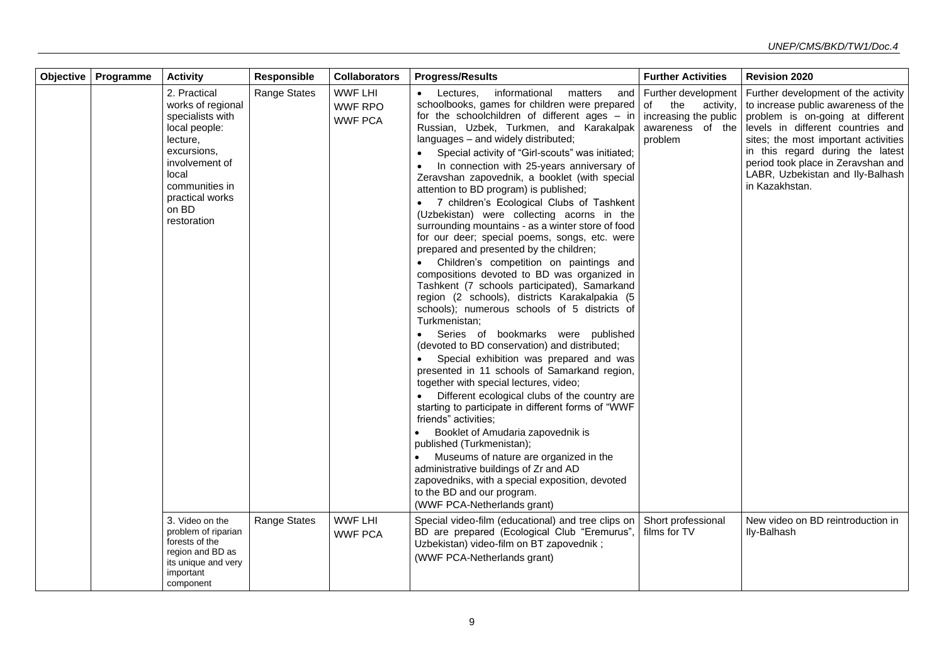| Objective   Programme | <b>Activity</b>                                                                                                                                                                           | Responsible         | <b>Collaborators</b>                               | <b>Progress/Results</b>                                                                                                                                                                                                                                                                                                                                                                                                                                                                                                                                                                                                                                                                                                                                               | <b>Further Activities</b>                                                         | <b>Revision 2020</b>                                                                                                                                                                                                                                                                                                                         |
|-----------------------|-------------------------------------------------------------------------------------------------------------------------------------------------------------------------------------------|---------------------|----------------------------------------------------|-----------------------------------------------------------------------------------------------------------------------------------------------------------------------------------------------------------------------------------------------------------------------------------------------------------------------------------------------------------------------------------------------------------------------------------------------------------------------------------------------------------------------------------------------------------------------------------------------------------------------------------------------------------------------------------------------------------------------------------------------------------------------|-----------------------------------------------------------------------------------|----------------------------------------------------------------------------------------------------------------------------------------------------------------------------------------------------------------------------------------------------------------------------------------------------------------------------------------------|
|                       | 2. Practical<br>works of regional<br>specialists with<br>local people:<br>lecture,<br>excursions,<br>involvement of<br>local<br>communities in<br>practical works<br>on BD<br>restoration | <b>Range States</b> | <b>WWF LHI</b><br><b>WWF RPO</b><br><b>WWF PCA</b> | Lectures.<br>informational<br>matters<br>schoolbooks, games for children were prepared of<br>for the schoolchildren of different ages $-$ in<br>Russian, Uzbek, Turkmen, and Karakalpak<br>languages - and widely distributed;<br>Special activity of "Girl-scouts" was initiated;<br>In connection with 25-years anniversary of<br>Zeravshan zapovednik, a booklet (with special<br>attention to BD program) is published;<br>• 7 children's Ecological Clubs of Tashkent<br>(Uzbekistan) were collecting acorns in the<br>surrounding mountains - as a winter store of food<br>for our deer; special poems, songs, etc. were<br>prepared and presented by the children;<br>• Children's competition on paintings and<br>compositions devoted to BD was organized in | and   Further development<br>the<br>activity,<br>increasing the public<br>problem | Further development of the activity<br>to increase public awareness of the<br>problem is on-going at different<br>awareness of the levels in different countries and<br>sites; the most important activities<br>in this regard during the latest<br>period took place in Zeravshan and<br>LABR, Uzbekistan and Ily-Balhash<br>in Kazakhstan. |
|                       |                                                                                                                                                                                           |                     |                                                    | Tashkent (7 schools participated), Samarkand<br>region (2 schools), districts Karakalpakia (5<br>schools); numerous schools of 5 districts of<br>Turkmenistan;<br>Series of bookmarks were published<br>(devoted to BD conservation) and distributed;<br>Special exhibition was prepared and was<br>presented in 11 schools of Samarkand region,<br>together with special lectures, video;<br>• Different ecological clubs of the country are<br>starting to participate in different forms of "WWF<br>friends" activities;<br>Booklet of Amudaria zapovednik is<br>published (Turkmenistan);<br>Museums of nature are organized in the                                                                                                                               |                                                                                   |                                                                                                                                                                                                                                                                                                                                              |
|                       |                                                                                                                                                                                           |                     |                                                    | administrative buildings of Zr and AD<br>zapovedniks, with a special exposition, devoted<br>to the BD and our program.<br>(WWF PCA-Netherlands grant)                                                                                                                                                                                                                                                                                                                                                                                                                                                                                                                                                                                                                 |                                                                                   |                                                                                                                                                                                                                                                                                                                                              |
|                       | 3. Video on the<br>problem of riparian<br>forests of the<br>region and BD as<br>its unique and very<br>important<br>component                                                             | <b>Range States</b> | <b>WWF LHI</b><br><b>WWF PCA</b>                   | Special video-film (educational) and tree clips on<br>BD are prepared (Ecological Club "Eremurus", films for TV<br>Uzbekistan) video-film on BT zapovednik;<br>(WWF PCA-Netherlands grant)                                                                                                                                                                                                                                                                                                                                                                                                                                                                                                                                                                            | Short professional                                                                | New video on BD reintroduction in<br>Ily-Balhash                                                                                                                                                                                                                                                                                             |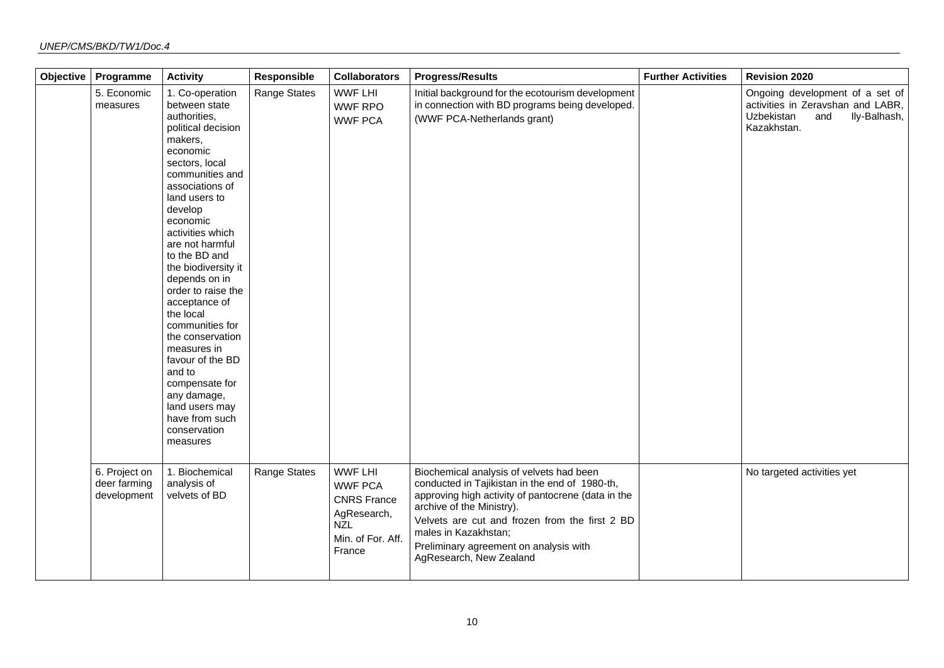| Objective | Programme                                    | <b>Activity</b>                                                                                                                                                                                                                                                                                                                                                                                                                                                                                                                        | Responsible  | <b>Collaborators</b>                                                                                               | <b>Progress/Results</b>                                                                                                                                                                                                                                                                                                      | <b>Further Activities</b> | <b>Revision 2020</b>                                                                                                     |
|-----------|----------------------------------------------|----------------------------------------------------------------------------------------------------------------------------------------------------------------------------------------------------------------------------------------------------------------------------------------------------------------------------------------------------------------------------------------------------------------------------------------------------------------------------------------------------------------------------------------|--------------|--------------------------------------------------------------------------------------------------------------------|------------------------------------------------------------------------------------------------------------------------------------------------------------------------------------------------------------------------------------------------------------------------------------------------------------------------------|---------------------------|--------------------------------------------------------------------------------------------------------------------------|
|           | 5. Economic<br>measures                      | 1. Co-operation<br>between state<br>authorities,<br>political decision<br>makers,<br>economic<br>sectors, local<br>communities and<br>associations of<br>land users to<br>develop<br>economic<br>activities which<br>are not harmful<br>to the BD and<br>the biodiversity it<br>depends on in<br>order to raise the<br>acceptance of<br>the local<br>communities for<br>the conservation<br>measures in<br>favour of the BD<br>and to<br>compensate for<br>any damage,<br>land users may<br>have from such<br>conservation<br>measures | Range States | <b>WWF LHI</b><br><b>WWF RPO</b><br><b>WWF PCA</b>                                                                 | Initial background for the ecotourism development<br>in connection with BD programs being developed.<br>(WWF PCA-Netherlands grant)                                                                                                                                                                                          |                           | Ongoing development of a set of<br>activities in Zeravshan and LABR,<br>Uzbekistan<br>and<br>Ily-Balhash,<br>Kazakhstan. |
|           | 6. Project on<br>deer farming<br>development | 1. Biochemical<br>analysis of<br>velvets of BD                                                                                                                                                                                                                                                                                                                                                                                                                                                                                         | Range States | <b>WWF LHI</b><br><b>WWF PCA</b><br><b>CNRS France</b><br>AgResearch,<br><b>NZL</b><br>Min. of For. Aff.<br>France | Biochemical analysis of velvets had been<br>conducted in Tajikistan in the end of 1980-th,<br>approving high activity of pantocrene (data in the<br>archive of the Ministry).<br>Velvets are cut and frozen from the first 2 BD<br>males in Kazakhstan;<br>Preliminary agreement on analysis with<br>AgResearch, New Zealand |                           | No targeted activities yet                                                                                               |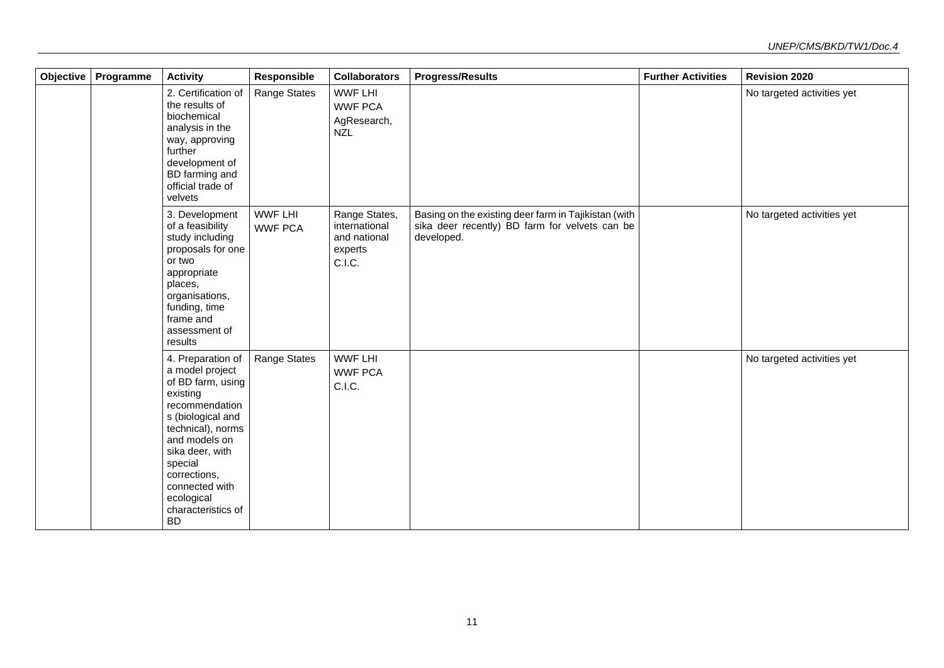| Objective | Programme | <b>Activity</b>                                                                                                                                                                                                                                                     | Responsible                      | <b>Collaborators</b>                                                | <b>Progress/Results</b>                                                                                              | <b>Further Activities</b> | <b>Revision 2020</b>       |
|-----------|-----------|---------------------------------------------------------------------------------------------------------------------------------------------------------------------------------------------------------------------------------------------------------------------|----------------------------------|---------------------------------------------------------------------|----------------------------------------------------------------------------------------------------------------------|---------------------------|----------------------------|
|           |           | 2. Certification of<br>the results of<br>biochemical<br>analysis in the<br>way, approving<br>further<br>development of<br>BD farming and<br>official trade of<br>velvets                                                                                            | Range States                     | <b>WWF LHI</b><br><b>WWF PCA</b><br>AgResearch,<br><b>NZL</b>       |                                                                                                                      |                           | No targeted activities yet |
|           |           | 3. Development<br>of a feasibility<br>study including<br>proposals for one<br>or two<br>appropriate<br>places,<br>organisations,<br>funding, time<br>frame and<br>assessment of<br>results                                                                          | <b>WWF LHI</b><br><b>WWF PCA</b> | Range States,<br>international<br>and national<br>experts<br>C.I.C. | Basing on the existing deer farm in Tajikistan (with<br>sika deer recently) BD farm for velvets can be<br>developed. |                           | No targeted activities yet |
|           |           | 4. Preparation of<br>a model project<br>of BD farm, using<br>existing<br>recommendation<br>s (biological and<br>technical), norms<br>and models on<br>sika deer, with<br>special<br>corrections,<br>connected with<br>ecological<br>characteristics of<br><b>BD</b> | <b>Range States</b>              | <b>WWF LHI</b><br><b>WWF PCA</b><br>C.I.C.                          |                                                                                                                      |                           | No targeted activities yet |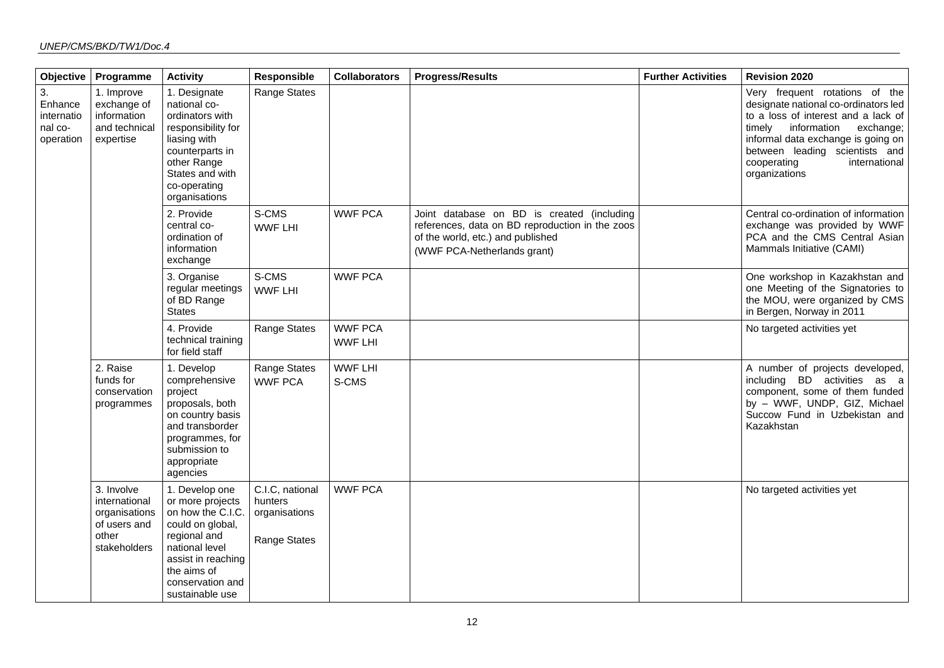| Objective                                           | Programme                                                                             | <b>Activity</b>                                                                                                                                                                           | Responsible                                                 | <b>Collaborators</b>             | <b>Progress/Results</b>                                                                                                                                           | <b>Further Activities</b> | <b>Revision 2020</b>                                                                                                                                                                                                                                                      |
|-----------------------------------------------------|---------------------------------------------------------------------------------------|-------------------------------------------------------------------------------------------------------------------------------------------------------------------------------------------|-------------------------------------------------------------|----------------------------------|-------------------------------------------------------------------------------------------------------------------------------------------------------------------|---------------------------|---------------------------------------------------------------------------------------------------------------------------------------------------------------------------------------------------------------------------------------------------------------------------|
| 3.<br>Enhance<br>internatio<br>nal co-<br>operation | 1. Improve<br>exchange of<br>information<br>and technical<br>expertise                | 1. Designate<br>national co-<br>ordinators with<br>responsibility for<br>liasing with<br>counterparts in<br>other Range<br>States and with<br>co-operating<br>organisations               | Range States                                                |                                  |                                                                                                                                                                   |                           | Very frequent rotations of the<br>designate national co-ordinators led<br>to a loss of interest and a lack of<br>timely information<br>exchange;<br>informal data exchange is going on<br>between leading scientists and<br>cooperating<br>international<br>organizations |
|                                                     |                                                                                       | 2. Provide<br>central co-<br>ordination of<br>information<br>exchange                                                                                                                     | S-CMS<br><b>WWF LHI</b>                                     | <b>WWF PCA</b>                   | Joint database on BD is created (including<br>references, data on BD reproduction in the zoos<br>of the world, etc.) and published<br>(WWF PCA-Netherlands grant) |                           | Central co-ordination of information<br>exchange was provided by WWF<br>PCA and the CMS Central Asian<br>Mammals Initiative (CAMI)                                                                                                                                        |
|                                                     |                                                                                       | 3. Organise<br>regular meetings<br>of BD Range<br><b>States</b>                                                                                                                           | S-CMS<br><b>WWF LHI</b>                                     | <b>WWF PCA</b>                   |                                                                                                                                                                   |                           | One workshop in Kazakhstan and<br>one Meeting of the Signatories to<br>the MOU, were organized by CMS<br>in Bergen, Norway in 2011                                                                                                                                        |
|                                                     |                                                                                       | 4. Provide<br>technical training<br>for field staff                                                                                                                                       | Range States                                                | <b>WWF PCA</b><br><b>WWF LHI</b> |                                                                                                                                                                   |                           | No targeted activities yet                                                                                                                                                                                                                                                |
|                                                     | 2. Raise<br>funds for<br>conservation<br>programmes                                   | 1. Develop<br>comprehensive<br>project<br>proposals, both<br>on country basis<br>and transborder<br>programmes, for<br>submission to<br>appropriate<br>agencies                           | Range States<br><b>WWF PCA</b>                              | <b>WWF LHI</b><br>S-CMS          |                                                                                                                                                                   |                           | A number of projects developed,<br>including BD activities as a<br>component, some of them funded<br>by - WWF, UNDP, GIZ, Michael<br>Succow Fund in Uzbekistan and<br>Kazakhstan                                                                                          |
|                                                     | 3. Involve<br>international<br>organisations<br>of users and<br>other<br>stakeholders | 1. Develop one<br>or more projects<br>on how the C.I.C.<br>could on global,<br>regional and<br>national level<br>assist in reaching<br>the aims of<br>conservation and<br>sustainable use | C.I.C, national<br>hunters<br>organisations<br>Range States | <b>WWF PCA</b>                   |                                                                                                                                                                   |                           | No targeted activities yet                                                                                                                                                                                                                                                |